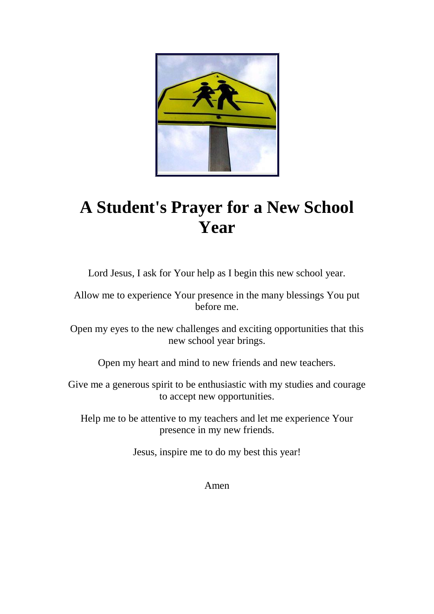

## **A Student's Prayer for a New School Year**

Lord Jesus, I ask for Your help as I begin this new school year.

Allow me to experience Your presence in the many blessings You put before me.

Open my eyes to the new challenges and exciting opportunities that this new school year brings.

Open my heart and mind to new friends and new teachers.

Give me a generous spirit to be enthusiastic with my studies and courage to accept new opportunities.

Help me to be attentive to my teachers and let me experience Your presence in my new friends.

Jesus, inspire me to do my best this year!

Amen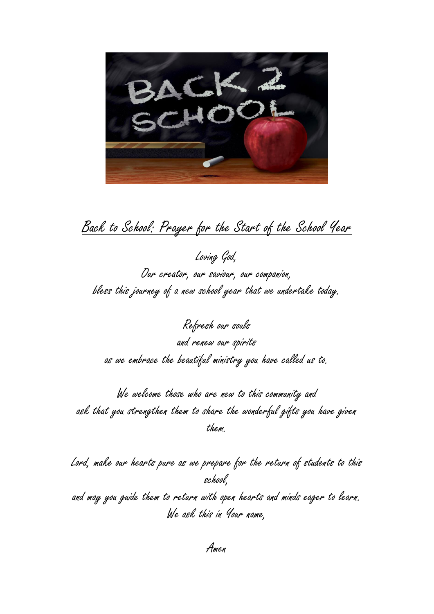BACK2

### [Back to School: Prayer for the Start of the School Year](http://www.smp.org/resourcepage.cfm?article=416)

Loving God, Our creator, our saviour, our companion, bless this journey of a new school year that we undertake today.

Refresh our souls and renew our spirits as we embrace the beautiful ministry you have called us to.

We welcome those who are new to this community and ask that you strengthen them to share the wonderful gifts you have given them.

Lord, make our hearts pure as we prepare for the return of students to this school, and may you guide them to return with open hearts and minds eager to learn. We ask this in Your name,

Amen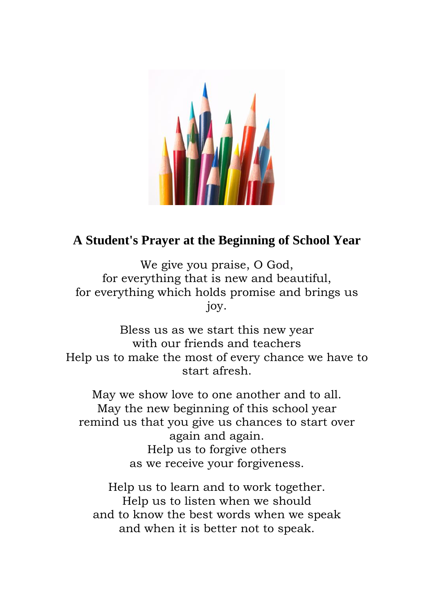

#### **A Student's Prayer at the Beginning of School Year**

We give you praise, O God, for everything that is new and beautiful, for everything which holds promise and brings us joy.

Bless us as we start this new year with our friends and teachers Help us to make the most of every chance we have to start afresh.

May we show love to one another and to all. May the new beginning of this school year remind us that you give us chances to start over again and again. Help us to forgive others as we receive your forgiveness.

Help us to learn and to work together. Help us to listen when we should and to know the best words when we speak and when it is better not to speak.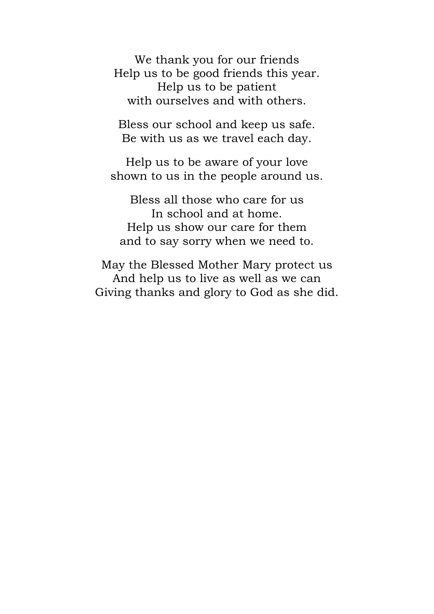We thank you for our friends Help us to be good friends this year. Help us to be patient with ourselves and with others.

Bless our school and keep us safe. Be with us as we travel each day.

Help us to be aware of your love shown to us in the people around us.

Bless all those who care for us In school and at home. Help us show our care for them and to say sorry when we need to.

May the Blessed Mother Mary protect us And help us to live as well as we can Giving thanks and glory to God as she did.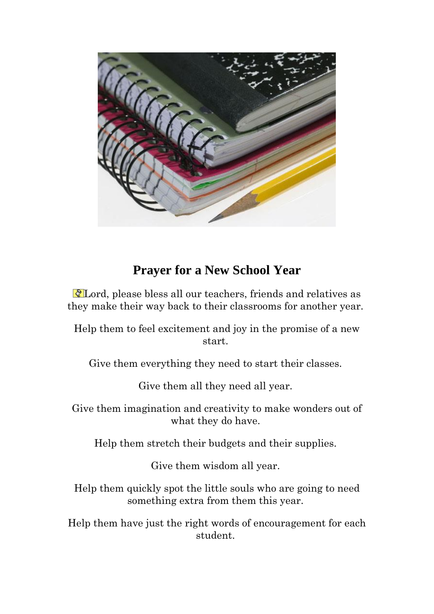

#### **Prayer for a New School Year**

Lord, please bless all our teachers, friends and relatives as they make their way back to their classrooms for another year.

Help them to feel excitement and joy in the promise of a new start.

Give them everything they need to start their classes.

Give them all they need all year.

Give them imagination and creativity to make wonders out of what they do have.

Help them stretch their budgets and their supplies.

Give them wisdom all year.

Help them quickly spot the little souls who are going to need something extra from them this year.

Help them have just the right words of encouragement for each student.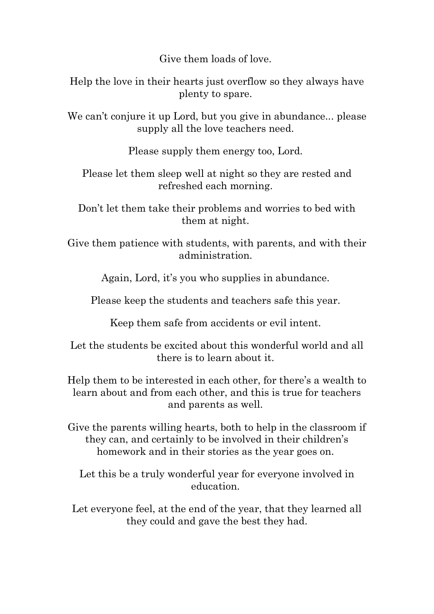Give them loads of love.

Help the love in their hearts just overflow so they always have plenty to spare.

We can't conjure it up Lord, but you give in abundance... please supply all the love teachers need.

Please supply them energy too, Lord.

Please let them sleep well at night so they are rested and refreshed each morning.

Don't let them take their problems and worries to bed with them at night.

Give them patience with students, with parents, and with their administration.

Again, Lord, it's you who supplies in abundance.

Please keep the students and teachers safe this year.

Keep them safe from accidents or evil intent.

Let the students be excited about this wonderful world and all there is to learn about it.

Help them to be interested in each other, for there's a wealth to learn about and from each other, and this is true for teachers and parents as well.

Give the parents willing hearts, both to help in the classroom if they can, and certainly to be involved in their children's homework and in their stories as the year goes on.

Let this be a truly wonderful year for everyone involved in education.

Let everyone feel, at the end of the year, that they learned all they could and gave the best they had.